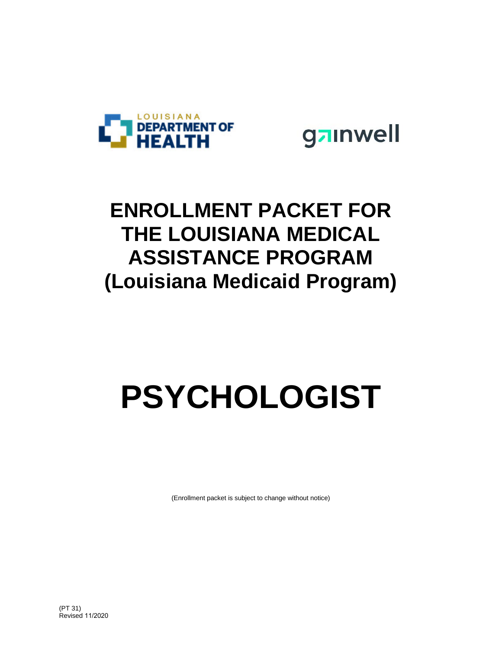



## **ENROLLMENT PACKET FOR THE LOUISIANA MEDICAL ASSISTANCE PROGRAM (Louisiana Medicaid Program)**

# **PSYCHOLOGIST**

(Enrollment packet is subject to change without notice)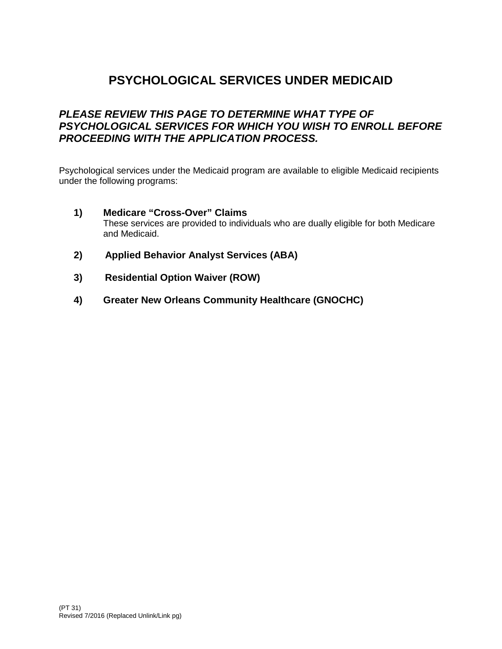## **PSYCHOLOGICAL SERVICES UNDER MEDICAID**

### *PLEASE REVIEW THIS PAGE TO DETERMINE WHAT TYPE OF PSYCHOLOGICAL SERVICES FOR WHICH YOU WISH TO ENROLL BEFORE PROCEEDING WITH THE APPLICATION PROCESS.*

Psychological services under the Medicaid program are available to eligible Medicaid recipients under the following programs:

- **1) Medicare "Cross-Over" Claims** These services are provided to individuals who are dually eligible for both Medicare and Medicaid.
- **2) Applied Behavior Analyst Services (ABA)**
- **3) Residential Option Waiver (ROW)**
- **4) Greater New Orleans Community Healthcare (GNOCHC)**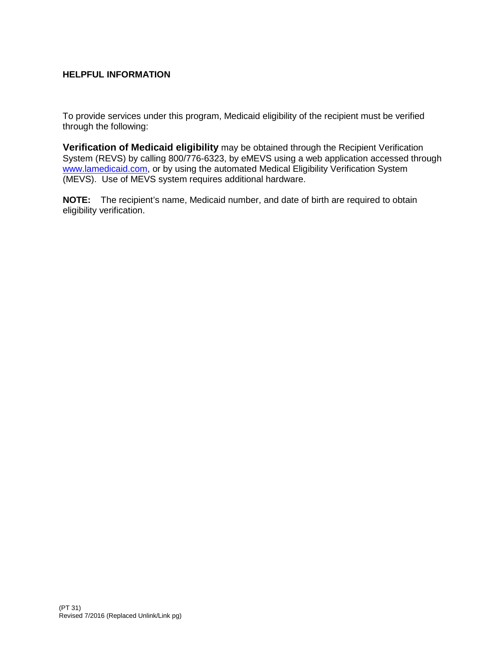#### **HELPFUL INFORMATION**

To provide services under this program, Medicaid eligibility of the recipient must be verified through the following:

**Verification of Medicaid eligibility** may be obtained through the Recipient Verification System (REVS) by calling 800/776-6323, by eMEVS using a web application accessed through [www.lamedicaid.com,](http://www.lamedicaid.com/) or by using the automated Medical Eligibility Verification System (MEVS). Use of MEVS system requires additional hardware.

**NOTE:** The recipient's name, Medicaid number, and date of birth are required to obtain eligibility verification.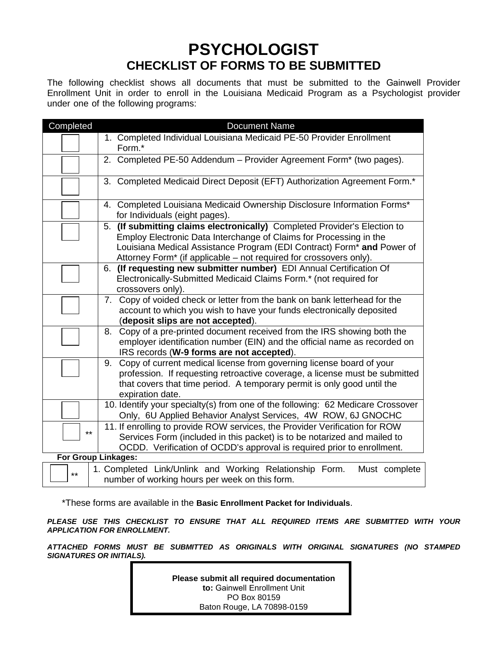## **PSYCHOLOGIST CHECKLIST OF FORMS TO BE SUBMITTED**

The following checklist shows all documents that must be submitted to the Gainwell Provider Enrollment Unit in order to enroll in the Louisiana Medicaid Program as a Psychologist provider under one of the following programs:

| Completed           | <b>Document Name</b>                                                                                                                                                                                                                                                                                        |
|---------------------|-------------------------------------------------------------------------------------------------------------------------------------------------------------------------------------------------------------------------------------------------------------------------------------------------------------|
|                     | 1. Completed Individual Louisiana Medicaid PE-50 Provider Enrollment<br>Form.*                                                                                                                                                                                                                              |
|                     | 2. Completed PE-50 Addendum - Provider Agreement Form* (two pages).                                                                                                                                                                                                                                         |
|                     | 3. Completed Medicaid Direct Deposit (EFT) Authorization Agreement Form.*                                                                                                                                                                                                                                   |
|                     | 4. Completed Louisiana Medicaid Ownership Disclosure Information Forms*<br>for Individuals (eight pages).                                                                                                                                                                                                   |
|                     | 5. (If submitting claims electronically) Completed Provider's Election to<br>Employ Electronic Data Interchange of Claims for Processing in the<br>Louisiana Medical Assistance Program (EDI Contract) Form <sup>*</sup> and Power of<br>Attorney Form* (if applicable – not required for crossovers only). |
|                     | 6. (If requesting new submitter number) EDI Annual Certification Of<br>Electronically-Submitted Medicaid Claims Form.* (not required for<br>crossovers only).                                                                                                                                               |
|                     | Copy of voided check or letter from the bank on bank letterhead for the<br>7.<br>account to which you wish to have your funds electronically deposited<br>(deposit slips are not accepted).                                                                                                                 |
|                     | Copy of a pre-printed document received from the IRS showing both the<br>8.<br>employer identification number (EIN) and the official name as recorded on<br>IRS records (W-9 forms are not accepted).                                                                                                       |
|                     | Copy of current medical license from governing license board of your<br>9.<br>profession. If requesting retroactive coverage, a license must be submitted<br>that covers that time period. A temporary permit is only good until the<br>expiration date.                                                    |
|                     | 10. Identify your specialty(s) from one of the following: 62 Medicare Crossover<br>Only, 6U Applied Behavior Analyst Services, 4W ROW, 6J GNOCHC                                                                                                                                                            |
| $***$               | 11. If enrolling to provide ROW services, the Provider Verification for ROW<br>Services Form (included in this packet) is to be notarized and mailed to<br>OCDD. Verification of OCDD's approval is required prior to enrollment.                                                                           |
| For Group Linkages: |                                                                                                                                                                                                                                                                                                             |
| $***$               | 1. Completed Link/Unlink and Working Relationship Form.<br>Must complete<br>number of working hours per week on this form.                                                                                                                                                                                  |

\*These forms are available in the **Basic Enrollment Packet for Individuals**.

*PLEASE USE THIS CHECKLIST TO ENSURE THAT ALL REQUIRED ITEMS ARE SUBMITTED WITH YOUR APPLICATION FOR ENROLLMENT.* 

*ATTACHED FORMS MUST BE SUBMITTED AS ORIGINALS WITH ORIGINAL SIGNATURES (NO STAMPED SIGNATURES OR INITIALS).*

> **Please submit all required documentation to:** Gainwell Enrollment Unit PO Box 80159 Baton Rouge, LA 70898-0159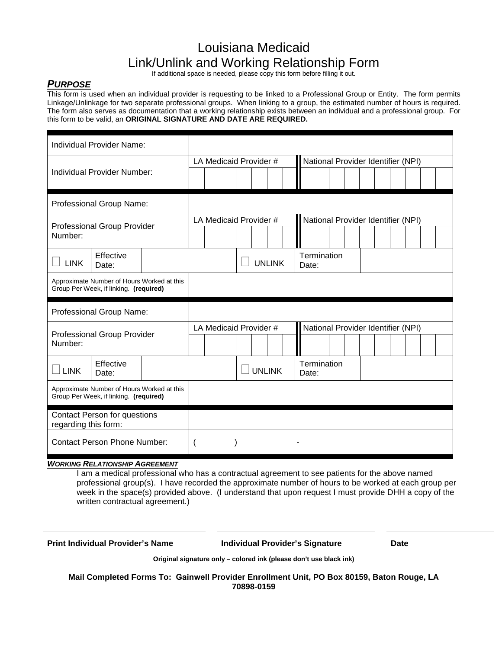## Louisiana Medicaid Link/Unlink and Working Relationship Form

If additional space is needed, please copy this form before filling it out.

#### *PURPOSE*

This form is used when an individual provider is requesting to be linked to a Professional Group or Entity. The form permits Linkage/Unlinkage for two separate professional groups. When linking to a group, the estimated number of hours is required. The form also serves as documentation that a working relationship exists between an individual and a professional group. For this form to be valid, an **ORIGINAL SIGNATURE AND DATE ARE REQUIRED.**

|                                                                                      | Individual Provider Name:                                                            |  |  |                        |                                    |       |                                    |  |  |  |  |  |  |  |  |
|--------------------------------------------------------------------------------------|--------------------------------------------------------------------------------------|--|--|------------------------|------------------------------------|-------|------------------------------------|--|--|--|--|--|--|--|--|
|                                                                                      |                                                                                      |  |  | LA Medicaid Provider # | National Provider Identifier (NPI) |       |                                    |  |  |  |  |  |  |  |  |
| Individual Provider Number:                                                          |                                                                                      |  |  |                        |                                    |       |                                    |  |  |  |  |  |  |  |  |
| Professional Group Name:                                                             |                                                                                      |  |  |                        |                                    |       |                                    |  |  |  |  |  |  |  |  |
| Professional Group Provider<br>Number:                                               |                                                                                      |  |  | LA Medicaid Provider # |                                    |       | National Provider Identifier (NPI) |  |  |  |  |  |  |  |  |
| <b>LINK</b>                                                                          | Effective<br>Date:                                                                   |  |  |                        | <b>UNLINK</b>                      | Date: | Termination                        |  |  |  |  |  |  |  |  |
| Approximate Number of Hours Worked at this<br>Group Per Week, if linking. (required) |                                                                                      |  |  |                        |                                    |       |                                    |  |  |  |  |  |  |  |  |
|                                                                                      |                                                                                      |  |  |                        |                                    |       |                                    |  |  |  |  |  |  |  |  |
|                                                                                      | Professional Group Name:                                                             |  |  |                        |                                    |       |                                    |  |  |  |  |  |  |  |  |
| Number:                                                                              | Professional Group Provider                                                          |  |  | LA Medicaid Provider # |                                    |       | National Provider Identifier (NPI) |  |  |  |  |  |  |  |  |
| <b>LINK</b>                                                                          | Effective<br>Date:                                                                   |  |  | <b>UNLINK</b>          |                                    | Date: | Termination                        |  |  |  |  |  |  |  |  |
|                                                                                      | Approximate Number of Hours Worked at this<br>Group Per Week, if linking. (required) |  |  |                        |                                    |       |                                    |  |  |  |  |  |  |  |  |
| regarding this form:                                                                 | <b>Contact Person for questions</b>                                                  |  |  |                        |                                    |       |                                    |  |  |  |  |  |  |  |  |

#### *WORKING RELATIONSHIP AGREEMENT*

I am a medical professional who has a contractual agreement to see patients for the above named professional group(s). I have recorded the approximate number of hours to be worked at each group per week in the space(s) provided above. (I understand that upon request I must provide DHH a copy of the written contractual agreement.)

**Print Individual Provider's Name Individual Provider's Signature Date**

**Original signature only – colored ink (please don't use black ink)** 

**Mail Completed Forms To: Gainwell Provider Enrollment Unit, PO Box 80159, Baton Rouge, LA 70898-0159**